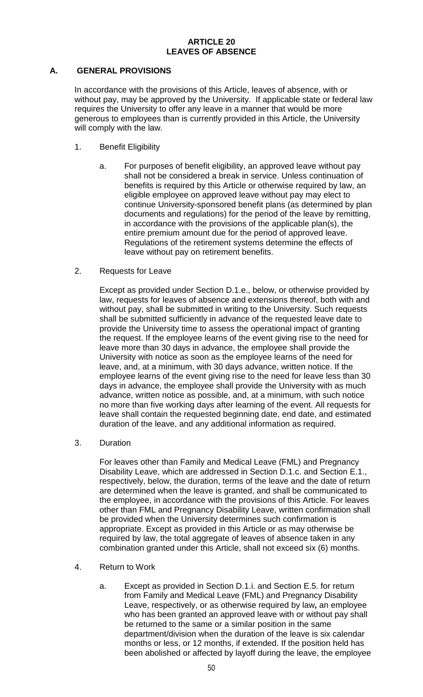#### **ARTICLE 20 LEAVES OF ABSENCE**

## **A. GENERAL PROVISIONS**

In accordance with the provisions of this Article, leaves of absence, with or without pay, may be approved by the University. If applicable state or federal law requires the University to offer any leave in a manner that would be more generous to employees than is currently provided in this Article, the University will comply with the law.

- 1. Benefit Eligibility
	- a. For purposes of benefit eligibility, an approved leave without pay shall not be considered a break in service. Unless continuation of benefits is required by this Article or otherwise required by law, an eligible employee on approved leave without pay may elect to continue University-sponsored benefit plans (as determined by plan documents and regulations) for the period of the leave by remitting, in accordance with the provisions of the applicable plan(s), the entire premium amount due for the period of approved leave. Regulations of the retirement systems determine the effects of leave without pay on retirement benefits.
- 2. Requests for Leave

Except as provided under Section D.1.e., below, or otherwise provided by law, requests for leaves of absence and extensions thereof, both with and without pay, shall be submitted in writing to the University. Such requests shall be submitted sufficiently in advance of the requested leave date to provide the University time to assess the operational impact of granting the request. If the employee learns of the event giving rise to the need for leave more than 30 days in advance, the employee shall provide the University with notice as soon as the employee learns of the need for leave, and, at a minimum, with 30 days advance, written notice. If the employee learns of the event giving rise to the need for leave less than 30 days in advance, the employee shall provide the University with as much advance, written notice as possible, and, at a minimum, with such notice no more than five working days after learning of the event. All requests for leave shall contain the requested beginning date, end date, and estimated duration of the leave, and any additional information as required.

3. Duration

For leaves other than Family and Medical Leave (FML) and Pregnancy Disability Leave, which are addressed in Section D.1.c. and Section E.1., respectively, below, the duration, terms of the leave and the date of return are determined when the leave is granted, and shall be communicated to the employee, in accordance with the provisions of this Article. For leaves other than FML and Pregnancy Disability Leave, written confirmation shall be provided when the University determines such confirmation is appropriate. Except as provided in this Article or as may otherwise be required by law, the total aggregate of leaves of absence taken in any combination granted under this Article, shall not exceed six (6) months.

- 4. Return to Work
	- a. Except as provided in Section D.1.i. and Section E.5. for return from Family and Medical Leave (FML) and Pregnancy Disability Leave, respectively, or as otherwise required by law**,** an employee who has been granted an approved leave with or without pay shall be returned to the same or a similar position in the same department/division when the duration of the leave is six calendar months or less, or 12 months, if extended. If the position held has been abolished or affected by layoff during the leave, the employee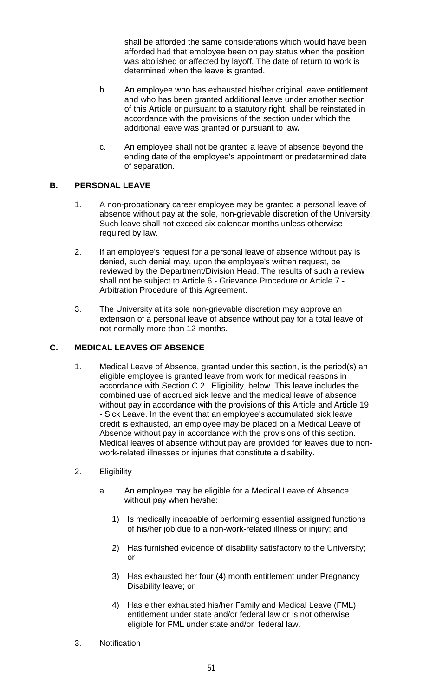shall be afforded the same considerations which would have been afforded had that employee been on pay status when the position was abolished or affected by layoff. The date of return to work is determined when the leave is granted.

- b. An employee who has exhausted his/her original leave entitlement and who has been granted additional leave under another section of this Article or pursuant to a statutory right, shall be reinstated in accordance with the provisions of the section under which the additional leave was granted or pursuant to law**.**
- c. An employee shall not be granted a leave of absence beyond the ending date of the employee's appointment or predetermined date of separation.

# **B. PERSONAL LEAVE**

- 1. A non-probationary career employee may be granted a personal leave of absence without pay at the sole, non-grievable discretion of the University. Such leave shall not exceed six calendar months unless otherwise required by law.
- 2. If an employee's request for a personal leave of absence without pay is denied, such denial may, upon the employee's written request, be reviewed by the Department/Division Head. The results of such a review shall not be subject to Article 6 - Grievance Procedure or Article 7 - Arbitration Procedure of this Agreement.
- 3. The University at its sole non-grievable discretion may approve an extension of a personal leave of absence without pay for a total leave of not normally more than 12 months.

# **C. MEDICAL LEAVES OF ABSENCE**

- 1. Medical Leave of Absence, granted under this section, is the period(s) an eligible employee is granted leave from work for medical reasons in accordance with Section C.2., Eligibility, below. This leave includes the combined use of accrued sick leave and the medical leave of absence without pay in accordance with the provisions of this Article and Article 19 - Sick Leave. In the event that an employee's accumulated sick leave credit is exhausted, an employee may be placed on a Medical Leave of Absence without pay in accordance with the provisions of this section. Medical leaves of absence without pay are provided for leaves due to nonwork-related illnesses or injuries that constitute a disability.
- 2. Eligibility
	- a. An employee may be eligible for a Medical Leave of Absence without pay when he/she:
		- 1) Is medically incapable of performing essential assigned functions of his/her job due to a non-work-related illness or injury; and
		- 2) Has furnished evidence of disability satisfactory to the University; or
		- 3) Has exhausted her four (4) month entitlement under Pregnancy Disability leave; or
		- 4) Has either exhausted his/her Family and Medical Leave (FML) entitlement under state and/or federal law or is not otherwise eligible for FML under state and/or federal law.
- 3. Notification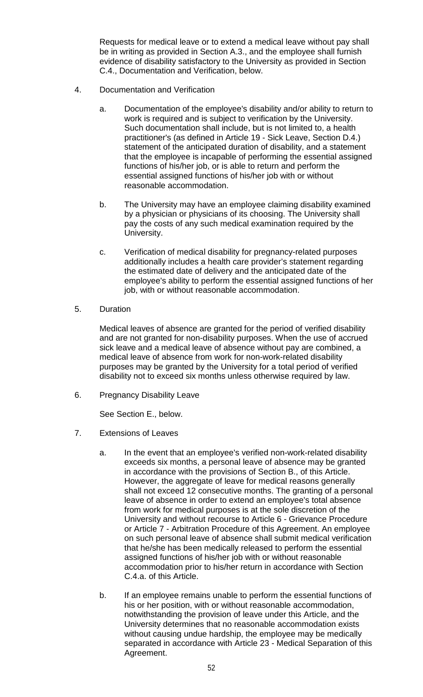Requests for medical leave or to extend a medical leave without pay shall be in writing as provided in Section A.3., and the employee shall furnish evidence of disability satisfactory to the University as provided in Section C.4., Documentation and Verification, below.

- 4. Documentation and Verification
	- a. Documentation of the employee's disability and/or ability to return to work is required and is subject to verification by the University. Such documentation shall include, but is not limited to, a health practitioner's (as defined in Article 19 - Sick Leave, Section D.4.) statement of the anticipated duration of disability, and a statement that the employee is incapable of performing the essential assigned functions of his/her job, or is able to return and perform the essential assigned functions of his/her job with or without reasonable accommodation.
	- b. The University may have an employee claiming disability examined by a physician or physicians of its choosing. The University shall pay the costs of any such medical examination required by the University.
	- c. Verification of medical disability for pregnancy-related purposes additionally includes a health care provider's statement regarding the estimated date of delivery and the anticipated date of the employee's ability to perform the essential assigned functions of her job, with or without reasonable accommodation.
- 5. Duration

Medical leaves of absence are granted for the period of verified disability and are not granted for non-disability purposes. When the use of accrued sick leave and a medical leave of absence without pay are combined, a medical leave of absence from work for non-work-related disability purposes may be granted by the University for a total period of verified disability not to exceed six months unless otherwise required by law.

6. Pregnancy Disability Leave

See Section E., below.

- 7. Extensions of Leaves
	- a. In the event that an employee's verified non-work-related disability exceeds six months, a personal leave of absence may be granted in accordance with the provisions of Section B., of this Article. However, the aggregate of leave for medical reasons generally shall not exceed 12 consecutive months. The granting of a personal leave of absence in order to extend an employee's total absence from work for medical purposes is at the sole discretion of the University and without recourse to Article 6 - Grievance Procedure or Article 7 - Arbitration Procedure of this Agreement. An employee on such personal leave of absence shall submit medical verification that he/she has been medically released to perform the essential assigned functions of his/her job with or without reasonable accommodation prior to his/her return in accordance with Section C.4.a. of this Article.
	- b. If an employee remains unable to perform the essential functions of his or her position, with or without reasonable accommodation, notwithstanding the provision of leave under this Article, and the University determines that no reasonable accommodation exists without causing undue hardship, the employee may be medically separated in accordance with Article 23 - Medical Separation of this Agreement.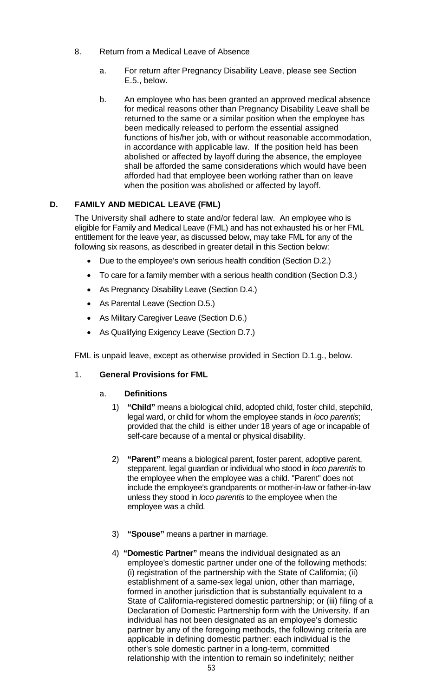- 8. Return from a Medical Leave of Absence
	- a. For return after Pregnancy Disability Leave, please see Section E.5., below.
	- b. An employee who has been granted an approved medical absence for medical reasons other than Pregnancy Disability Leave shall be returned to the same or a similar position when the employee has been medically released to perform the essential assigned functions of his/her job, with or without reasonable accommodation, in accordance with applicable law. If the position held has been abolished or affected by layoff during the absence, the employee shall be afforded the same considerations which would have been afforded had that employee been working rather than on leave when the position was abolished or affected by layoff.

# **D. FAMILY AND MEDICAL LEAVE (FML)**

The University shall adhere to state and/or federal law. An employee who is eligible for Family and Medical Leave (FML) and has not exhausted his or her FML entitlement for the leave year, as discussed below, may take FML for any of the following six reasons, as described in greater detail in this Section below:

- Due to the employee's own serious health condition (Section D.2.)
- To care for a family member with a serious health condition (Section D.3.)
- As Pregnancy Disability Leave (Section D.4.)
- As Parental Leave (Section D.5.)
- As Military Caregiver Leave (Section D.6.)
- As Qualifying Exigency Leave (Section D.7.)

FML is unpaid leave, except as otherwise provided in Section D.1.g., below.

## 1. **General Provisions for FML**

## a. **Definitions**

- 1) **"Child"** means a biological child, adopted child, foster child, stepchild, legal ward, or child for whom the employee stands in *loco parentis*; provided that the child is either under 18 years of age or incapable of self-care because of a mental or physical disability.
- 2) **"Parent"** means a biological parent, foster parent, adoptive parent, stepparent, legal guardian or individual who stood in *loco parentis* to the employee when the employee was a child. "Parent" does not include the employee's grandparents or mother-in-law or father-in-law unless they stood in *loco parentis* to the employee when the employee was a child*.*
- 3) **"Spouse"** means a partner in marriage.
- 4) **"Domestic Partner"** means the individual designated as an employee's domestic partner under one of the following methods: (i) registration of the partnership with the State of California; (ii) establishment of a same-sex legal union, other than marriage, formed in another jurisdiction that is substantially equivalent to a State of California-registered domestic partnership; or (iii) filing of a Declaration of Domestic Partnership form with the University. If an individual has not been designated as an employee's domestic partner by any of the foregoing methods, the following criteria are applicable in defining domestic partner: each individual is the other's sole domestic partner in a long-term, committed relationship with the intention to remain so indefinitely; neither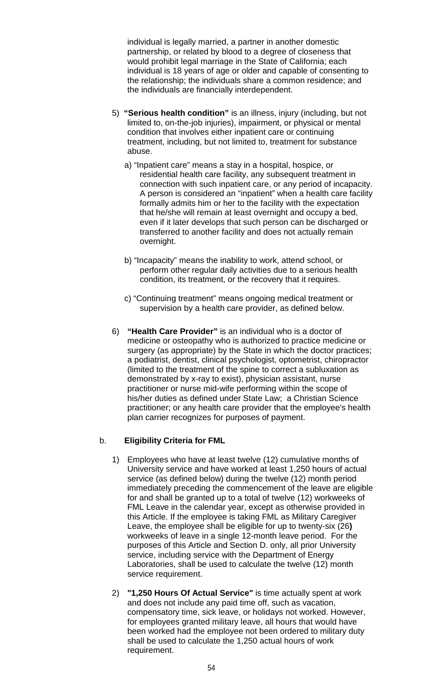individual is legally married, a partner in another domestic partnership, or related by blood to a degree of closeness that would prohibit legal marriage in the State of California; each individual is 18 years of age or older and capable of consenting to the relationship; the individuals share a common residence; and the individuals are financially interdependent.

- 5) **"Serious health condition"** is an illness, injury (including, but not limited to, on-the-job injuries), impairment, or physical or mental condition that involves either inpatient care or continuing treatment, including, but not limited to, treatment for substance abuse.
	- a) "Inpatient care" means a stay in a hospital, hospice, or residential health care facility, any subsequent treatment in connection with such inpatient care, or any period of incapacity. A person is considered an "inpatient" when a health care facility formally admits him or her to the facility with the expectation that he/she will remain at least overnight and occupy a bed, even if it later develops that such person can be discharged or transferred to another facility and does not actually remain overnight.
	- b) "Incapacity" means the inability to work, attend school, or perform other regular daily activities due to a serious health condition, its treatment, or the recovery that it requires.
	- c) "Continuing treatment" means ongoing medical treatment or supervision by a health care provider, as defined below.
- 6) **"Health Care Provider"** is an individual who is a doctor of medicine or osteopathy who is authorized to practice medicine or surgery (as appropriate) by the State in which the doctor practices; a podiatrist, dentist, clinical psychologist, optometrist, chiropractor (limited to the treatment of the spine to correct a subluxation as demonstrated by x-ray to exist), physician assistant, nurse practitioner or nurse mid-wife performing within the scope of his/her duties as defined under State Law; a Christian Science practitioner; or any health care provider that the employee's health plan carrier recognizes for purposes of payment.

## b. **Eligibility Criteria for FML**

- 1) Employees who have at least twelve (12) cumulative months of University service and have worked at least 1,250 hours of actual service (as defined below) during the twelve (12) month period immediately preceding the commencement of the leave are eligible for and shall be granted up to a total of twelve (12) workweeks of FML Leave in the calendar year, except as otherwise provided in this Article. If the employee is taking FML as Military Caregiver Leave, the employee shall be eligible for up to twenty-six (26**)** workweeks of leave in a single 12-month leave period. For the purposes of this Article and Section D. only, all prior University service, including service with the Department of Energy Laboratories, shall be used to calculate the twelve (12) month service requirement.
- 2) **"1,250 Hours Of Actual Service"** is time actually spent at work and does not include any paid time off, such as vacation, compensatory time, sick leave, or holidays not worked. However, for employees granted military leave, all hours that would have been worked had the employee not been ordered to military duty shall be used to calculate the 1,250 actual hours of work requirement.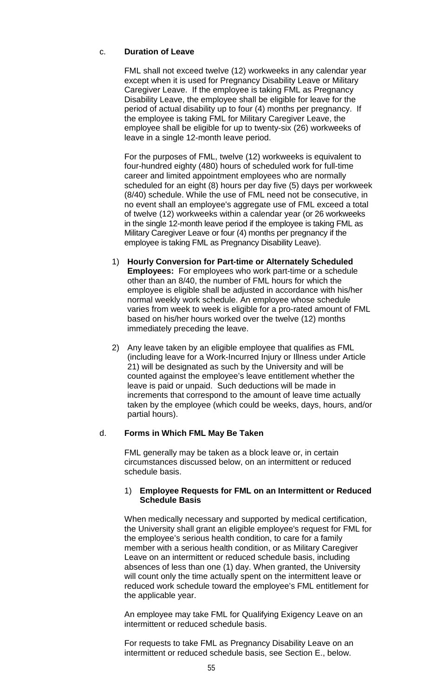#### c. **Duration of Leave**

FML shall not exceed twelve (12) workweeks in any calendar year except when it is used for Pregnancy Disability Leave or Military Caregiver Leave. If the employee is taking FML as Pregnancy Disability Leave, the employee shall be eligible for leave for the period of actual disability up to four (4) months per pregnancy. If the employee is taking FML for Military Caregiver Leave, the employee shall be eligible for up to twenty-six (26) workweeks of leave in a single 12-month leave period.

For the purposes of FML, twelve (12) workweeks is equivalent to four-hundred eighty (480) hours of scheduled work for full-time career and limited appointment employees who are normally scheduled for an eight (8) hours per day five (5) days per workweek (8/40) schedule. While the use of FML need not be consecutive, in no event shall an employee's aggregate use of FML exceed a total of twelve (12) workweeks within a calendar year (or 26 workweeks in the single 12-month leave period if the employee is taking FML as Military Caregiver Leave or four (4) months per pregnancy if the employee is taking FML as Pregnancy Disability Leave).

- 1) **Hourly Conversion for Part-time or Alternately Scheduled Employees:** For employees who work part-time or a schedule other than an 8/40, the number of FML hours for which the employee is eligible shall be adjusted in accordance with his/her normal weekly work schedule. An employee whose schedule varies from week to week is eligible for a pro-rated amount of FML based on his/her hours worked over the twelve (12) months immediately preceding the leave.
- 2) Any leave taken by an eligible employee that qualifies as FML (including leave for a Work-Incurred Injury or Illness under Article 21) will be designated as such by the University and will be counted against the employee's leave entitlement whether the leave is paid or unpaid. Such deductions will be made in increments that correspond to the amount of leave time actually taken by the employee (which could be weeks, days, hours, and/or partial hours).

## d. **Forms in Which FML May Be Taken**

FML generally may be taken as a block leave or, in certain circumstances discussed below, on an intermittent or reduced schedule basis.

#### 1) **Employee Requests for FML on an Intermittent or Reduced Schedule Basis**

When medically necessary and supported by medical certification, the University shall grant an eligible employee's request for FML for the employee's serious health condition, to care for a family member with a serious health condition, or as Military Caregiver Leave on an intermittent or reduced schedule basis, including absences of less than one (1) day. When granted, the University will count only the time actually spent on the intermittent leave or reduced work schedule toward the employee's FML entitlement for the applicable year.

An employee may take FML for Qualifying Exigency Leave on an intermittent or reduced schedule basis.

For requests to take FML as Pregnancy Disability Leave on an intermittent or reduced schedule basis, see Section E., below.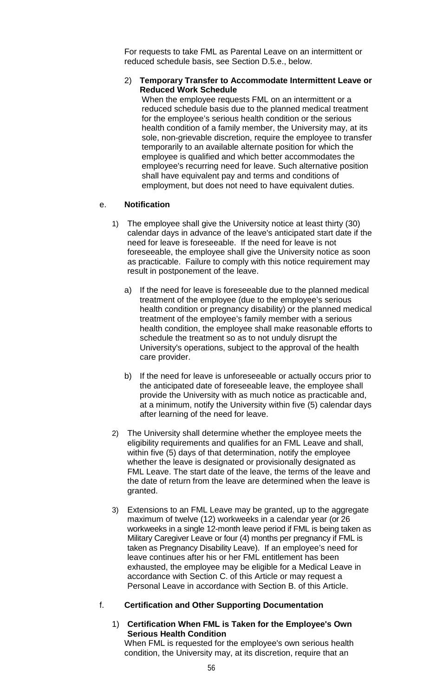For requests to take FML as Parental Leave on an intermittent or reduced schedule basis, see Section D.5.e., below.

#### 2) **Temporary Transfer to Accommodate Intermittent Leave or Reduced Work Schedule**

When the employee requests FML on an intermittent or a reduced schedule basis due to the planned medical treatment for the employee's serious health condition or the serious health condition of a family member, the University may, at its sole, non-grievable discretion, require the employee to transfer temporarily to an available alternate position for which the employee is qualified and which better accommodates the employee's recurring need for leave. Such alternative position shall have equivalent pay and terms and conditions of employment, but does not need to have equivalent duties.

## e. **Notification**

- 1) The employee shall give the University notice at least thirty (30) calendar days in advance of the leave's anticipated start date if the need for leave is foreseeable. If the need for leave is not foreseeable, the employee shall give the University notice as soon as practicable. Failure to comply with this notice requirement may result in postponement of the leave.
	- a) If the need for leave is foreseeable due to the planned medical treatment of the employee (due to the employee's serious health condition or pregnancy disability) or the planned medical treatment of the employee's family member with a serious health condition, the employee shall make reasonable efforts to schedule the treatment so as to not unduly disrupt the University's operations, subject to the approval of the health care provider.
	- b) If the need for leave is unforeseeable or actually occurs prior to the anticipated date of foreseeable leave, the employee shall provide the University with as much notice as practicable and, at a minimum, notify the University within five (5) calendar days after learning of the need for leave.
- 2) The University shall determine whether the employee meets the eligibility requirements and qualifies for an FML Leave and shall, within five (5) days of that determination, notify the employee whether the leave is designated or provisionally designated as FML Leave. The start date of the leave, the terms of the leave and the date of return from the leave are determined when the leave is granted.
- 3) Extensions to an FML Leave may be granted, up to the aggregate maximum of twelve (12) workweeks in a calendar year (or 26 workweeks in a single 12-month leave period if FML is being taken as Military Caregiver Leave or four (4) months per pregnancy if FML is taken as Pregnancy Disability Leave). If an employee's need for leave continues after his or her FML entitlement has been exhausted, the employee may be eligible for a Medical Leave in accordance with Section C. of this Article or may request a Personal Leave in accordance with Section B. of this Article.

## f. **Certification and Other Supporting Documentation**

#### 1) **Certification When FML is Taken for the Employee's Own Serious Health Condition** When FML is requested for the employee's own serious health condition, the University may, at its discretion, require that an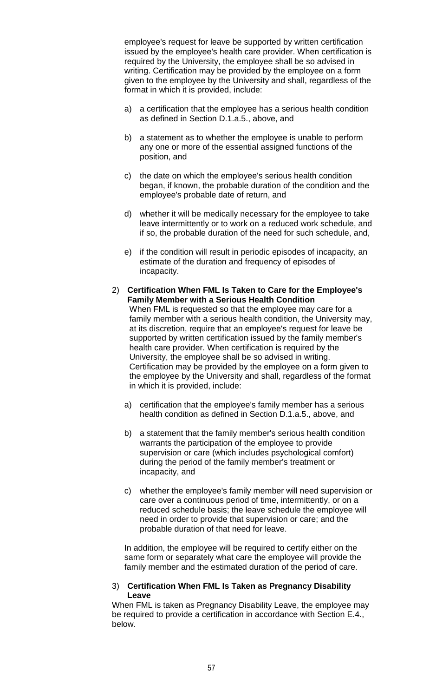employee's request for leave be supported by written certification issued by the employee's health care provider. When certification is required by the University, the employee shall be so advised in writing. Certification may be provided by the employee on a form given to the employee by the University and shall, regardless of the format in which it is provided, include:

- a) a certification that the employee has a serious health condition as defined in Section D.1.a.5., above, and
- b) a statement as to whether the employee is unable to perform any one or more of the essential assigned functions of the position, and
- c) the date on which the employee's serious health condition began, if known, the probable duration of the condition and the employee's probable date of return, and
- d) whether it will be medically necessary for the employee to take leave intermittently or to work on a reduced work schedule, and if so, the probable duration of the need for such schedule, and,
- e) if the condition will result in periodic episodes of incapacity, an estimate of the duration and frequency of episodes of incapacity.
- 2) **Certification When FML Is Taken to Care for the Employee's Family Member with a Serious Health Condition** When FML is requested so that the employee may care for a family member with a serious health condition, the University may, at its discretion, require that an employee's request for leave be supported by written certification issued by the family member's health care provider. When certification is required by the University, the employee shall be so advised in writing. Certification may be provided by the employee on a form given to the employee by the University and shall, regardless of the format in which it is provided, include:
	- a) certification that the employee's family member has a serious health condition as defined in Section D.1.a.5., above, and
	- b) a statement that the family member's serious health condition warrants the participation of the employee to provide supervision or care (which includes psychological comfort) during the period of the family member's treatment or incapacity, and
	- c) whether the employee's family member will need supervision or care over a continuous period of time, intermittently, or on a reduced schedule basis; the leave schedule the employee will need in order to provide that supervision or care; and the probable duration of that need for leave.

In addition, the employee will be required to certify either on the same form or separately what care the employee will provide the family member and the estimated duration of the period of care.

#### 3) **Certification When FML Is Taken as Pregnancy Disability Leave**

When FML is taken as Pregnancy Disability Leave, the employee may be required to provide a certification in accordance with Section E.4., below.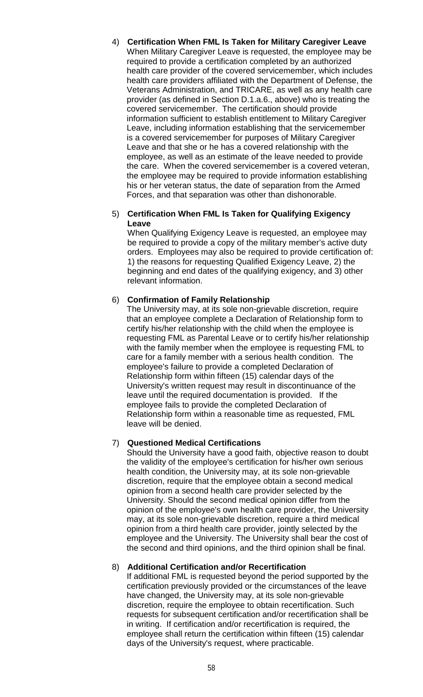4) **Certification When FML Is Taken for Military Caregiver Leave**  When Military Caregiver Leave is requested, the employee may be required to provide a certification completed by an authorized health care provider of the covered servicemember, which includes health care providers affiliated with the Department of Defense, the Veterans Administration, and TRICARE, as well as any health care provider (as defined in Section D.1.a.6., above) who is treating the covered servicemember. The certification should provide information sufficient to establish entitlement to Military Caregiver Leave, including information establishing that the servicemember is a covered servicemember for purposes of Military Caregiver Leave and that she or he has a covered relationship with the employee, as well as an estimate of the leave needed to provide the care. When the covered servicemember is a covered veteran, the employee may be required to provide information establishing his or her veteran status, the date of separation from the Armed Forces, and that separation was other than dishonorable.

#### 5) **Certification When FML Is Taken for Qualifying Exigency Leave**

When Qualifying Exigency Leave is requested, an employee may be required to provide a copy of the military member's active duty orders. Employees may also be required to provide certification of: 1) the reasons for requesting Qualified Exigency Leave, 2) the beginning and end dates of the qualifying exigency, and 3) other relevant information.

# 6) **Confirmation of Family Relationship**

The University may, at its sole non-grievable discretion, require that an employee complete a Declaration of Relationship form to certify his/her relationship with the child when the employee is requesting FML as Parental Leave or to certify his/her relationship with the family member when the employee is requesting FML to care for a family member with a serious health condition. The employee's failure to provide a completed Declaration of Relationship form within fifteen (15) calendar days of the University's written request may result in discontinuance of the leave until the required documentation is provided. If the employee fails to provide the completed Declaration of Relationship form within a reasonable time as requested, FML leave will be denied.

## 7) **Questioned Medical Certifications**

Should the University have a good faith, objective reason to doubt the validity of the employee's certification for his/her own serious health condition, the University may, at its sole non-grievable discretion, require that the employee obtain a second medical opinion from a second health care provider selected by the University. Should the second medical opinion differ from the opinion of the employee's own health care provider, the University may, at its sole non-grievable discretion, require a third medical opinion from a third health care provider, jointly selected by the employee and the University. The University shall bear the cost of the second and third opinions, and the third opinion shall be final.

## 8) **Additional Certification and/or Recertification**

If additional FML is requested beyond the period supported by the certification previously provided or the circumstances of the leave have changed, the University may, at its sole non-grievable discretion, require the employee to obtain recertification. Such requests for subsequent certification and/or recertification shall be in writing. If certification and/or recertification is required, the employee shall return the certification within fifteen (15) calendar days of the University's request, where practicable.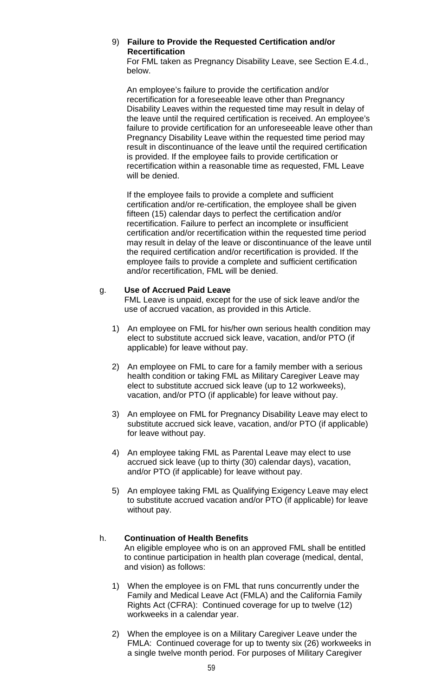## 9) **Failure to Provide the Requested Certification and/or Recertification**

For FML taken as Pregnancy Disability Leave, see Section E.4.d., below.

An employee's failure to provide the certification and/or recertification for a foreseeable leave other than Pregnancy Disability Leaves within the requested time may result in delay of the leave until the required certification is received. An employee's failure to provide certification for an unforeseeable leave other than Pregnancy Disability Leave within the requested time period may result in discontinuance of the leave until the required certification is provided. If the employee fails to provide certification or recertification within a reasonable time as requested, FML Leave will be denied.

If the employee fails to provide a complete and sufficient certification and/or re-certification, the employee shall be given fifteen (15) calendar days to perfect the certification and/or recertification. Failure to perfect an incomplete or insufficient certification and/or recertification within the requested time period may result in delay of the leave or discontinuance of the leave until the required certification and/or recertification is provided. If the employee fails to provide a complete and sufficient certification and/or recertification, FML will be denied.

## g. **Use of Accrued Paid Leave**

FML Leave is unpaid, except for the use of sick leave and/or the use of accrued vacation, as provided in this Article.

- 1) An employee on FML for his/her own serious health condition may elect to substitute accrued sick leave, vacation, and/or PTO (if applicable) for leave without pay.
- 2) An employee on FML to care for a family member with a serious health condition or taking FML as Military Caregiver Leave may elect to substitute accrued sick leave (up to 12 workweeks), vacation, and/or PTO (if applicable) for leave without pay.
- 3) An employee on FML for Pregnancy Disability Leave may elect to substitute accrued sick leave, vacation, and/or PTO (if applicable) for leave without pay.
- 4) An employee taking FML as Parental Leave may elect to use accrued sick leave (up to thirty (30) calendar days), vacation, and/or PTO (if applicable) for leave without pay.
- 5) An employee taking FML as Qualifying Exigency Leave may elect to substitute accrued vacation and/or PTO (if applicable) for leave without pay.

## h. **Continuation of Health Benefits**

An eligible employee who is on an approved FML shall be entitled to continue participation in health plan coverage (medical, dental, and vision) as follows:

- 1) When the employee is on FML that runs concurrently under the Family and Medical Leave Act (FMLA) and the California Family Rights Act (CFRA): Continued coverage for up to twelve (12) workweeks in a calendar year.
- 2) When the employee is on a Military Caregiver Leave under the FMLA: Continued coverage for up to twenty six (26) workweeks in a single twelve month period. For purposes of Military Caregiver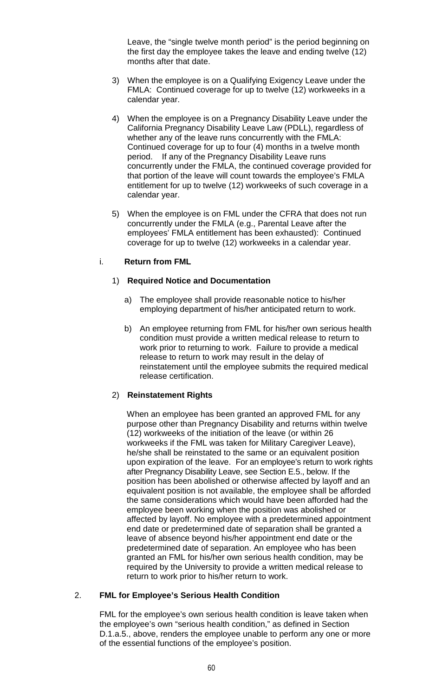Leave, the "single twelve month period" is the period beginning on the first day the employee takes the leave and ending twelve (12) months after that date.

- 3) When the employee is on a Qualifying Exigency Leave under the FMLA: Continued coverage for up to twelve (12) workweeks in a calendar year.
- 4) When the employee is on a Pregnancy Disability Leave under the California Pregnancy Disability Leave Law (PDLL), regardless of whether any of the leave runs concurrently with the FMLA: Continued coverage for up to four (4) months in a twelve month period. If any of the Pregnancy Disability Leave runs concurrently under the FMLA, the continued coverage provided for that portion of the leave will count towards the employee's FMLA entitlement for up to twelve (12) workweeks of such coverage in a calendar year.
- 5) When the employee is on FML under the CFRA that does not run concurrently under the FMLA (e.g., Parental Leave after the employees' FMLA entitlement has been exhausted): Continued coverage for up to twelve (12) workweeks in a calendar year.

#### i. **Return from FML**

## 1) **Required Notice and Documentation**

- a) The employee shall provide reasonable notice to his/her employing department of his/her anticipated return to work.
- b) An employee returning from FML for his/her own serious health condition must provide a written medical release to return to work prior to returning to work. Failure to provide a medical release to return to work may result in the delay of reinstatement until the employee submits the required medical release certification.

## 2) **Reinstatement Rights**

When an employee has been granted an approved FML for any purpose other than Pregnancy Disability and returns within twelve (12) workweeks of the initiation of the leave (or within 26 workweeks if the FML was taken for Military Caregiver Leave), he/she shall be reinstated to the same or an equivalent position upon expiration of the leave. For an employee's return to work rights after Pregnancy Disability Leave, see Section E.5., below. If the position has been abolished or otherwise affected by layoff and an equivalent position is not available, the employee shall be afforded the same considerations which would have been afforded had the employee been working when the position was abolished or affected by layoff. No employee with a predetermined appointment end date or predetermined date of separation shall be granted a leave of absence beyond his/her appointment end date or the predetermined date of separation. An employee who has been granted an FML for his/her own serious health condition, may be required by the University to provide a written medical release to return to work prior to his/her return to work.

#### 2. **FML for Employee's Serious Health Condition**

FML for the employee's own serious health condition is leave taken when the employee's own "serious health condition," as defined in Section D.1.a.5., above, renders the employee unable to perform any one or more of the essential functions of the employee's position.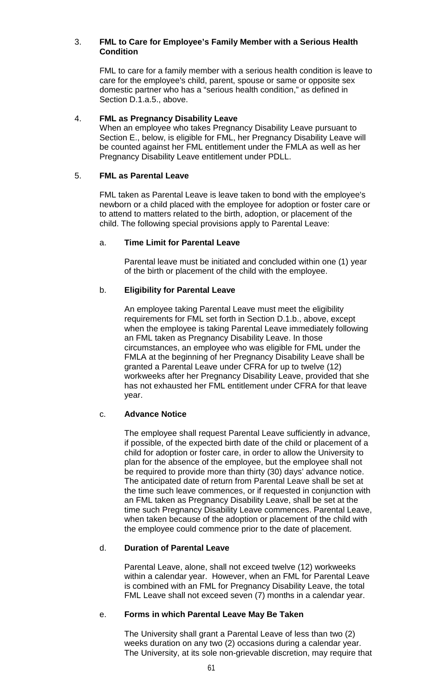#### 3. **FML to Care for Employee's Family Member with a Serious Health Condition**

FML to care for a family member with a serious health condition is leave to care for the employee's child, parent, spouse or same or opposite sex domestic partner who has a "serious health condition," as defined in Section D.1.a.5., above.

#### 4. **FML as Pregnancy Disability Leave**

When an employee who takes Pregnancy Disability Leave pursuant to Section E., below, is eligible for FML, her Pregnancy Disability Leave will be counted against her FML entitlement under the FMLA as well as her Pregnancy Disability Leave entitlement under PDLL.

## 5. **FML as Parental Leave**

FML taken as Parental Leave is leave taken to bond with the employee's newborn or a child placed with the employee for adoption or foster care or to attend to matters related to the birth, adoption, or placement of the child. The following special provisions apply to Parental Leave:

## a. **Time Limit for Parental Leave**

Parental leave must be initiated and concluded within one (1) year of the birth or placement of the child with the employee.

## b. **Eligibility for Parental Leave**

An employee taking Parental Leave must meet the eligibility requirements for FML set forth in Section D.1.b., above, except when the employee is taking Parental Leave immediately following an FML taken as Pregnancy Disability Leave. In those circumstances, an employee who was eligible for FML under the FMLA at the beginning of her Pregnancy Disability Leave shall be granted a Parental Leave under CFRA for up to twelve (12) workweeks after her Pregnancy Disability Leave, provided that she has not exhausted her FML entitlement under CFRA for that leave year.

## c. **Advance Notice**

The employee shall request Parental Leave sufficiently in advance, if possible, of the expected birth date of the child or placement of a child for adoption or foster care, in order to allow the University to plan for the absence of the employee, but the employee shall not be required to provide more than thirty (30) days' advance notice. The anticipated date of return from Parental Leave shall be set at the time such leave commences, or if requested in conjunction with an FML taken as Pregnancy Disability Leave, shall be set at the time such Pregnancy Disability Leave commences. Parental Leave, when taken because of the adoption or placement of the child with the employee could commence prior to the date of placement.

## d. **Duration of Parental Leave**

Parental Leave, alone, shall not exceed twelve (12) workweeks within a calendar year. However, when an FML for Parental Leave is combined with an FML for Pregnancy Disability Leave, the total FML Leave shall not exceed seven (7) months in a calendar year.

## e. **Forms in which Parental Leave May Be Taken**

The University shall grant a Parental Leave of less than two (2) weeks duration on any two (2) occasions during a calendar year. The University, at its sole non-grievable discretion, may require that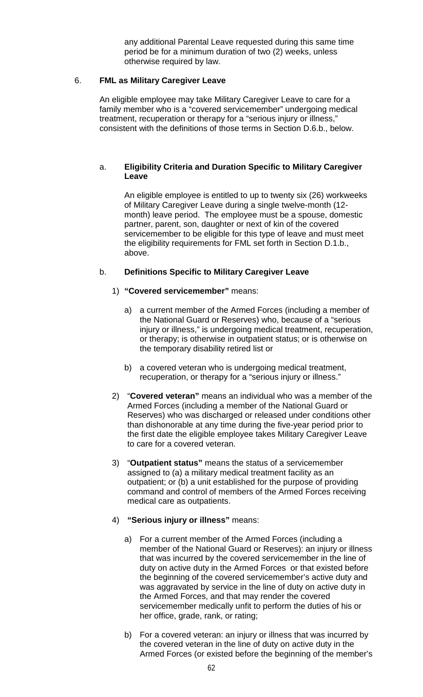any additional Parental Leave requested during this same time period be for a minimum duration of two (2) weeks, unless otherwise required by law.

## 6. **FML as Military Caregiver Leave**

An eligible employee may take Military Caregiver Leave to care for a family member who is a "covered servicemember" undergoing medical treatment, recuperation or therapy for a "serious injury or illness," consistent with the definitions of those terms in Section D.6.b., below.

## a. **Eligibility Criteria and Duration Specific to Military Caregiver Leave**

An eligible employee is entitled to up to twenty six (26) workweeks of Military Caregiver Leave during a single twelve-month (12 month) leave period. The employee must be a spouse, domestic partner, parent, son, daughter or next of kin of the covered servicemember to be eligible for this type of leave and must meet the eligibility requirements for FML set forth in Section D.1.b., above.

## b. **Definitions Specific to Military Caregiver Leave**

## 1) **"Covered servicemember"** means:

- a) a current member of the Armed Forces (including a member of the National Guard or Reserves) who, because of a "serious injury or illness," is undergoing medical treatment, recuperation, or therapy; is otherwise in outpatient status; or is otherwise on the temporary disability retired list or
- b) a covered veteran who is undergoing medical treatment, recuperation, or therapy for a "serious injury or illness."
- 2) "**Covered veteran"** means an individual who was a member of the Armed Forces (including a member of the National Guard or Reserves) who was discharged or released under conditions other than dishonorable at any time during the five-year period prior to the first date the eligible employee takes Military Caregiver Leave to care for a covered veteran.
- 3) "**Outpatient status"** means the status of a servicemember assigned to (a) a military medical treatment facility as an outpatient; or (b) a unit established for the purpose of providing command and control of members of the Armed Forces receiving medical care as outpatients.

## 4) **"Serious injury or illness"** means:

- a) For a current member of the Armed Forces (including a member of the National Guard or Reserves): an injury or illness that was incurred by the covered servicemember in the line of duty on active duty in the Armed Forces or that existed before the beginning of the covered servicemember's active duty and was aggravated by service in the line of duty on active duty in the Armed Forces, and that may render the covered servicemember medically unfit to perform the duties of his or her office, grade, rank, or rating;
- b) For a covered veteran: an injury or illness that was incurred by the covered veteran in the line of duty on active duty in the Armed Forces (or existed before the beginning of the member's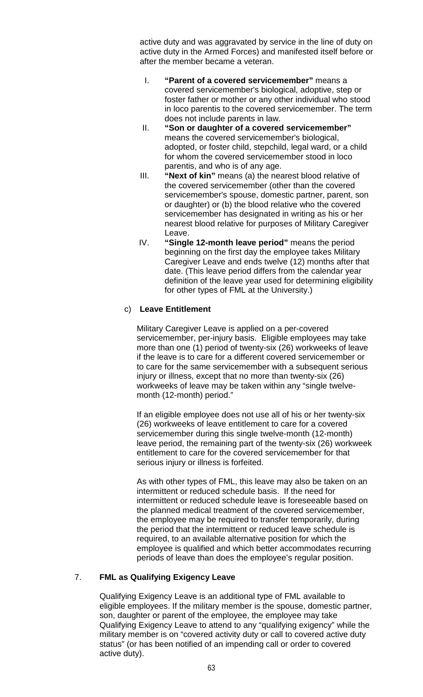active duty and was aggravated by service in the line of duty on active duty in the Armed Forces) and manifested itself before or after the member became a veteran.

- I. **"Parent of a covered servicemember"** means a covered servicemember's biological, adoptive, step or foster father or mother or any other individual who stood in loco parentis to the covered servicemember. The term does not include parents in law.
- II. **"Son or daughter of a covered servicemember"** means the covered servicemember's biological, adopted, or foster child, stepchild, legal ward, or a child for whom the covered servicemember stood in loco parentis, and who is of any age.
- III. **"Next of kin"** means (a) the nearest blood relative of the covered servicemember (other than the covered servicemember's spouse, domestic partner, parent, son or daughter) or (b) the blood relative who the covered servicemember has designated in writing as his or her nearest blood relative for purposes of Military Caregiver Leave.
- IV. **"Single 12-month leave period"** means the period beginning on the first day the employee takes Military Caregiver Leave and ends twelve (12) months after that date. (This leave period differs from the calendar year definition of the leave year used for determining eligibility for other types of FML at the University.)

# c) **Leave Entitlement**

Military Caregiver Leave is applied on a per-covered servicemember, per-injury basis. Eligible employees may take more than one (1) period of twenty-six (26) workweeks of leave if the leave is to care for a different covered servicemember or to care for the same servicemember with a subsequent serious injury or illness, except that no more than twenty-six (26) workweeks of leave may be taken within any "single twelvemonth (12-month) period."

If an eligible employee does not use all of his or her twenty-six (26) workweeks of leave entitlement to care for a covered servicemember during this single twelve-month (12-month) leave period, the remaining part of the twenty-six (26) workweek entitlement to care for the covered servicemember for that serious injury or illness is forfeited.

As with other types of FML, this leave may also be taken on an intermittent or reduced schedule basis. If the need for intermittent or reduced schedule leave is foreseeable based on the planned medical treatment of the covered servicemember, the employee may be required to transfer temporarily, during the period that the intermittent or reduced leave schedule is required, to an available alternative position for which the employee is qualified and which better accommodates recurring periods of leave than does the employee's regular position.

## 7. **FML as Qualifying Exigency Leave**

Qualifying Exigency Leave is an additional type of FML available to eligible employees. If the military member is the spouse, domestic partner, son, daughter or parent of the employee, the employee may take Qualifying Exigency Leave to attend to any "qualifying exigency" while the military member is on "covered activity duty or call to covered active duty status" (or has been notified of an impending call or order to covered active duty).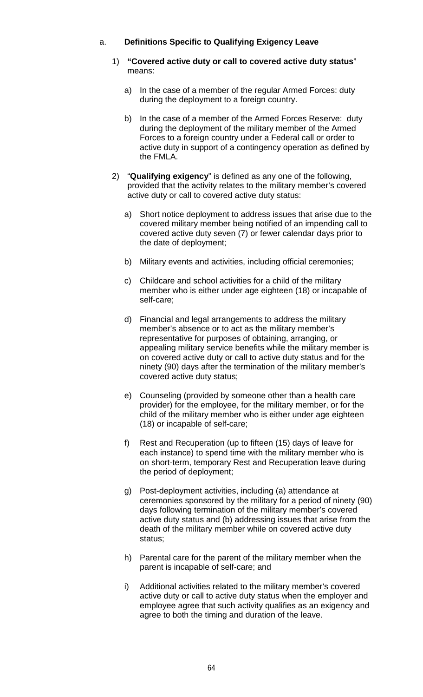## a. **Definitions Specific to Qualifying Exigency Leave**

- 1) **"Covered active duty or call to covered active duty status**" means:
	- a) In the case of a member of the regular Armed Forces: duty during the deployment to a foreign country.
	- b) In the case of a member of the Armed Forces Reserve: duty during the deployment of the military member of the Armed Forces to a foreign country under a Federal call or order to active duty in support of a contingency operation as defined by the FMLA.
- 2) "**Qualifying exigency**" is defined as any one of the following, provided that the activity relates to the military member's covered active duty or call to covered active duty status:
	- a) Short notice deployment to address issues that arise due to the covered military member being notified of an impending call to covered active duty seven (7) or fewer calendar days prior to the date of deployment;
	- b) Military events and activities, including official ceremonies;
	- c) Childcare and school activities for a child of the military member who is either under age eighteen (18) or incapable of self-care;
	- d) Financial and legal arrangements to address the military member's absence or to act as the military member's representative for purposes of obtaining, arranging, or appealing military service benefits while the military member is on covered active duty or call to active duty status and for the ninety (90) days after the termination of the military member's covered active duty status;
	- e) Counseling (provided by someone other than a health care provider) for the employee, for the military member, or for the child of the military member who is either under age eighteen (18) or incapable of self-care;
	- f) Rest and Recuperation (up to fifteen (15) days of leave for each instance) to spend time with the military member who is on short-term, temporary Rest and Recuperation leave during the period of deployment;
	- g) Post-deployment activities, including (a) attendance at ceremonies sponsored by the military for a period of ninety (90) days following termination of the military member's covered active duty status and (b) addressing issues that arise from the death of the military member while on covered active duty status;
	- h) Parental care for the parent of the military member when the parent is incapable of self-care; and
	- i) Additional activities related to the military member's covered active duty or call to active duty status when the employer and employee agree that such activity qualifies as an exigency and agree to both the timing and duration of the leave.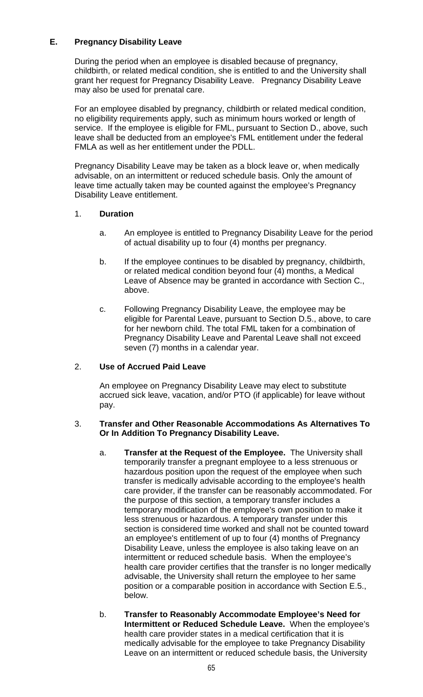## **E. Pregnancy Disability Leave**

During the period when an employee is disabled because of pregnancy, childbirth, or related medical condition, she is entitled to and the University shall grant her request for Pregnancy Disability Leave. Pregnancy Disability Leave may also be used for prenatal care.

For an employee disabled by pregnancy, childbirth or related medical condition, no eligibility requirements apply, such as minimum hours worked or length of service. If the employee is eligible for FML, pursuant to Section D., above, such leave shall be deducted from an employee's FML entitlement under the federal FMLA as well as her entitlement under the PDLL.

Pregnancy Disability Leave may be taken as a block leave or, when medically advisable, on an intermittent or reduced schedule basis. Only the amount of leave time actually taken may be counted against the employee's Pregnancy Disability Leave entitlement.

# 1. **Duration**

- a. An employee is entitled to Pregnancy Disability Leave for the period of actual disability up to four (4) months per pregnancy.
- b. If the employee continues to be disabled by pregnancy, childbirth, or related medical condition beyond four (4) months, a Medical Leave of Absence may be granted in accordance with Section C., above.
- c. Following Pregnancy Disability Leave, the employee may be eligible for Parental Leave, pursuant to Section D.5., above, to care for her newborn child. The total FML taken for a combination of Pregnancy Disability Leave and Parental Leave shall not exceed seven (7) months in a calendar year.

# 2. **Use of Accrued Paid Leave**

An employee on Pregnancy Disability Leave may elect to substitute accrued sick leave, vacation, and/or PTO (if applicable) for leave without pay.

#### 3. **Transfer and Other Reasonable Accommodations As Alternatives To Or In Addition To Pregnancy Disability Leave.**

- a. **Transfer at the Request of the Employee.** The University shall temporarily transfer a pregnant employee to a less strenuous or hazardous position upon the request of the employee when such transfer is medically advisable according to the employee's health care provider, if the transfer can be reasonably accommodated. For the purpose of this section, a temporary transfer includes a temporary modification of the employee's own position to make it less strenuous or hazardous. A temporary transfer under this section is considered time worked and shall not be counted toward an employee's entitlement of up to four (4) months of Pregnancy Disability Leave, unless the employee is also taking leave on an intermittent or reduced schedule basis. When the employee's health care provider certifies that the transfer is no longer medically advisable, the University shall return the employee to her same position or a comparable position in accordance with Section E.5., below.
- b. **Transfer to Reasonably Accommodate Employee's Need for Intermittent or Reduced Schedule Leave.** When the employee's health care provider states in a medical certification that it is medically advisable for the employee to take Pregnancy Disability Leave on an intermittent or reduced schedule basis, the University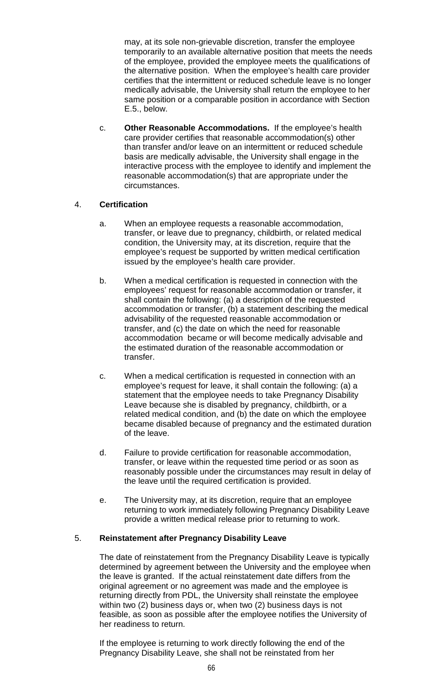may, at its sole non-grievable discretion, transfer the employee temporarily to an available alternative position that meets the needs of the employee, provided the employee meets the qualifications of the alternative position. When the employee's health care provider certifies that the intermittent or reduced schedule leave is no longer medically advisable, the University shall return the employee to her same position or a comparable position in accordance with Section E.5., below.

c. **Other Reasonable Accommodations.** If the employee's health care provider certifies that reasonable accommodation(s) other than transfer and/or leave on an intermittent or reduced schedule basis are medically advisable, the University shall engage in the interactive process with the employee to identify and implement the reasonable accommodation(s) that are appropriate under the circumstances.

# 4. **Certification**

- a. When an employee requests a reasonable accommodation, transfer, or leave due to pregnancy, childbirth, or related medical condition, the University may, at its discretion, require that the employee's request be supported by written medical certification issued by the employee's health care provider.
- b. When a medical certification is requested in connection with the employees' request for reasonable accommodation or transfer, it shall contain the following: (a) a description of the requested accommodation or transfer, (b) a statement describing the medical advisability of the requested reasonable accommodation or transfer, and (c) the date on which the need for reasonable accommodation became or will become medically advisable and the estimated duration of the reasonable accommodation or transfer.
- c. When a medical certification is requested in connection with an employee's request for leave, it shall contain the following: (a) a statement that the employee needs to take Pregnancy Disability Leave because she is disabled by pregnancy, childbirth, or a related medical condition, and (b) the date on which the employee became disabled because of pregnancy and the estimated duration of the leave.
- d. Failure to provide certification for reasonable accommodation, transfer, or leave within the requested time period or as soon as reasonably possible under the circumstances may result in delay of the leave until the required certification is provided.
- e. The University may, at its discretion, require that an employee returning to work immediately following Pregnancy Disability Leave provide a written medical release prior to returning to work.

# 5. **Reinstatement after Pregnancy Disability Leave**

The date of reinstatement from the Pregnancy Disability Leave is typically determined by agreement between the University and the employee when the leave is granted. If the actual reinstatement date differs from the original agreement or no agreement was made and the employee is returning directly from PDL, the University shall reinstate the employee within two (2) business days or, when two (2) business days is not feasible, as soon as possible after the employee notifies the University of her readiness to return.

If the employee is returning to work directly following the end of the Pregnancy Disability Leave, she shall not be reinstated from her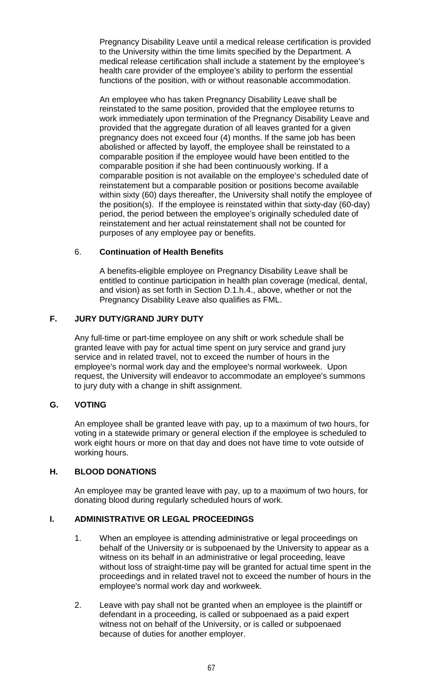Pregnancy Disability Leave until a medical release certification is provided to the University within the time limits specified by the Department. A medical release certification shall include a statement by the employee's health care provider of the employee's ability to perform the essential functions of the position, with or without reasonable accommodation.

An employee who has taken Pregnancy Disability Leave shall be reinstated to the same position, provided that the employee returns to work immediately upon termination of the Pregnancy Disability Leave and provided that the aggregate duration of all leaves granted for a given pregnancy does not exceed four (4) months. If the same job has been abolished or affected by layoff, the employee shall be reinstated to a comparable position if the employee would have been entitled to the comparable position if she had been continuously working. If a comparable position is not available on the employee's scheduled date of reinstatement but a comparable position or positions become available within sixty (60) days thereafter, the University shall notify the employee of the position(s). If the employee is reinstated within that sixty-day (60-day) period, the period between the employee's originally scheduled date of reinstatement and her actual reinstatement shall not be counted for purposes of any employee pay or benefits.

## 6. **Continuation of Health Benefits**

A benefits-eligible employee on Pregnancy Disability Leave shall be entitled to continue participation in health plan coverage (medical, dental, and vision) as set forth in Section D.1.h.4., above, whether or not the Pregnancy Disability Leave also qualifies as FML.

## **F. JURY DUTY/GRAND JURY DUTY**

Any full-time or part-time employee on any shift or work schedule shall be granted leave with pay for actual time spent on jury service and grand jury service and in related travel, not to exceed the number of hours in the employee's normal work day and the employee's normal workweek. Upon request, the University will endeavor to accommodate an employee's summons to jury duty with a change in shift assignment.

#### **G. VOTING**

An employee shall be granted leave with pay, up to a maximum of two hours, for voting in a statewide primary or general election if the employee is scheduled to work eight hours or more on that day and does not have time to vote outside of working hours.

#### **H. BLOOD DONATIONS**

An employee may be granted leave with pay, up to a maximum of two hours, for donating blood during regularly scheduled hours of work.

#### **I. ADMINISTRATIVE OR LEGAL PROCEEDINGS**

- 1. When an employee is attending administrative or legal proceedings on behalf of the University or is subpoenaed by the University to appear as a witness on its behalf in an administrative or legal proceeding, leave without loss of straight-time pay will be granted for actual time spent in the proceedings and in related travel not to exceed the number of hours in the employee's normal work day and workweek.
- 2. Leave with pay shall not be granted when an employee is the plaintiff or defendant in a proceeding, is called or subpoenaed as a paid expert witness not on behalf of the University, or is called or subpoenaed because of duties for another employer.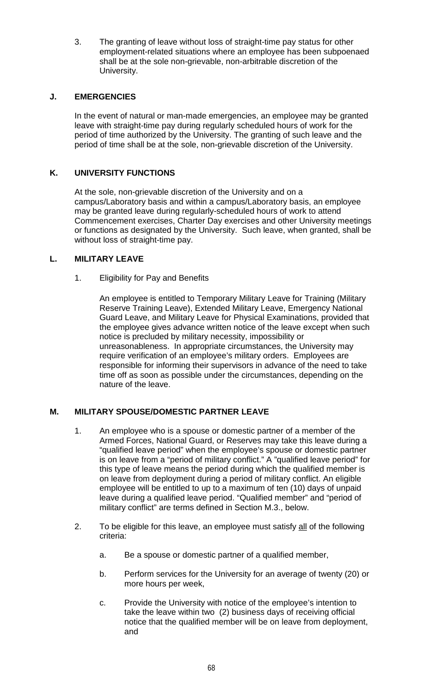3. The granting of leave without loss of straight-time pay status for other employment-related situations where an employee has been subpoenaed shall be at the sole non-grievable, non-arbitrable discretion of the University.

## **J. EMERGENCIES**

In the event of natural or man-made emergencies, an employee may be granted leave with straight-time pay during regularly scheduled hours of work for the period of time authorized by the University. The granting of such leave and the period of time shall be at the sole, non-grievable discretion of the University.

# **K. UNIVERSITY FUNCTIONS**

At the sole, non-grievable discretion of the University and on a campus/Laboratory basis and within a campus/Laboratory basis, an employee may be granted leave during regularly-scheduled hours of work to attend Commencement exercises, Charter Day exercises and other University meetings or functions as designated by the University. Such leave, when granted, shall be without loss of straight-time pay.

## **L. MILITARY LEAVE**

1. Eligibility for Pay and Benefits

An employee is entitled to Temporary Military Leave for Training (Military Reserve Training Leave), Extended Military Leave, Emergency National Guard Leave, and Military Leave for Physical Examinations, provided that the employee gives advance written notice of the leave except when such notice is precluded by military necessity, impossibility or unreasonableness. In appropriate circumstances, the University may require verification of an employee's military orders. Employees are responsible for informing their supervisors in advance of the need to take time off as soon as possible under the circumstances, depending on the nature of the leave.

## **M. MILITARY SPOUSE/DOMESTIC PARTNER LEAVE**

- 1. An employee who is a spouse or domestic partner of a member of the Armed Forces, National Guard, or Reserves may take this leave during a "qualified leave period" when the employee's spouse or domestic partner is on leave from a "period of military conflict." A "qualified leave period" for this type of leave means the period during which the qualified member is on leave from deployment during a period of military conflict. An eligible employee will be entitled to up to a maximum of ten (10) days of unpaid leave during a qualified leave period. "Qualified member" and "period of military conflict" are terms defined in Section M.3., below.
- 2. To be eligible for this leave, an employee must satisfy all of the following criteria:
	- a. Be a spouse or domestic partner of a qualified member,
	- b. Perform services for the University for an average of twenty (20) or more hours per week,
	- c. Provide the University with notice of the employee's intention to take the leave within two (2) business days of receiving official notice that the qualified member will be on leave from deployment, and